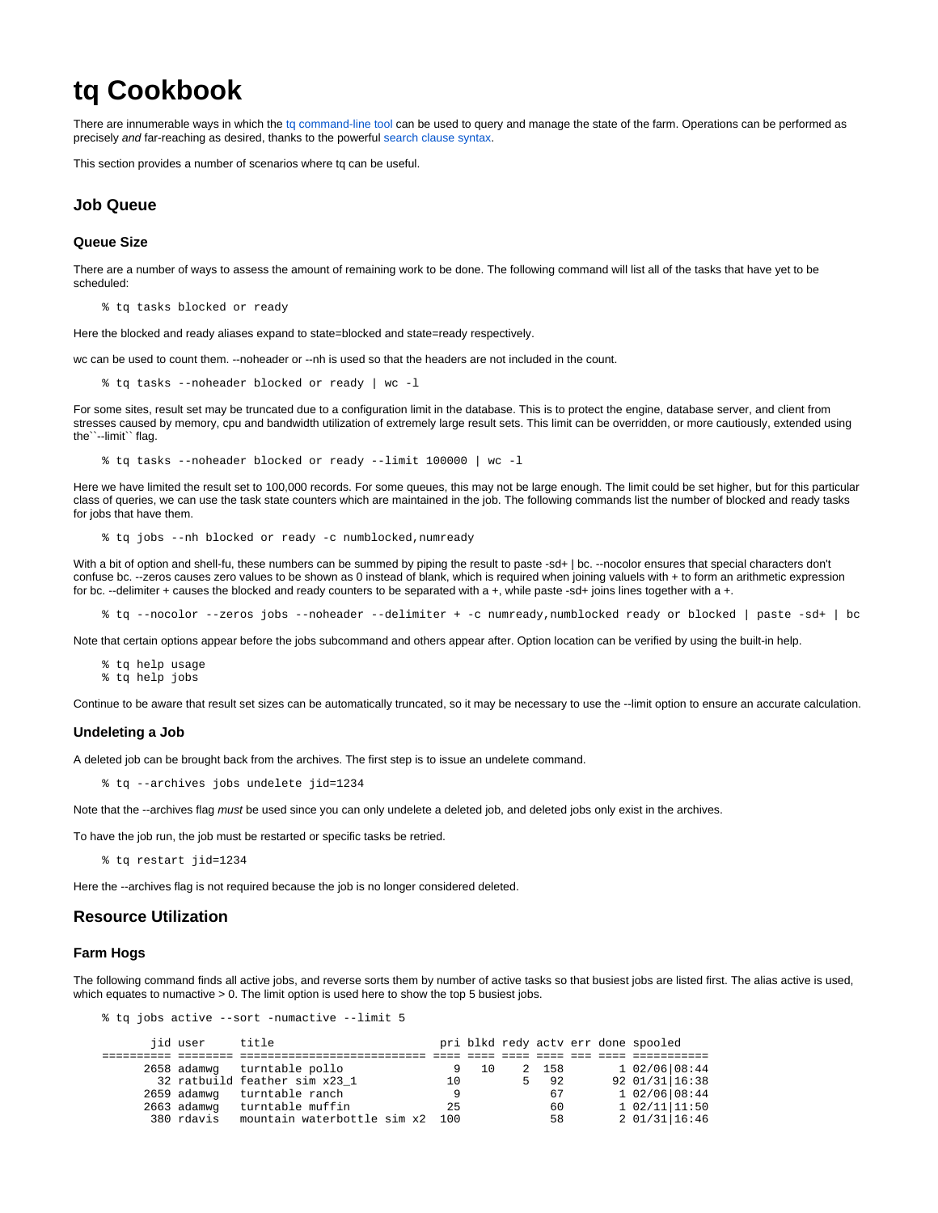# **tq Cookbook**

There are innumerable ways in which the [tq command-line tool](https://rmanwiki.pixar.com/display/TRA/tq%3A+Tractor+Query+tool) can be used to query and manage the state of the farm. Operations can be performed as precisely and far-reaching as desired, thanks to the powerful [search clause syntax.](https://rmanwiki.pixar.com/display/TRA/Search+Clauses)

This section provides a number of scenarios where tq can be useful.

# **Job Queue**

# **Queue Size**

There are a number of ways to assess the amount of remaining work to be done. The following command will list all of the tasks that have yet to be scheduled:

% tq tasks blocked or ready

Here the blocked and ready aliases expand to state=blocked and state=ready respectively.

wc can be used to count them. --noheader or --nh is used so that the headers are not included in the count.

% tq tasks --noheader blocked or ready | wc -l

For some sites, result set may be truncated due to a configuration limit in the database. This is to protect the engine, database server, and client from stresses caused by memory, cpu and bandwidth utilization of extremely large result sets. This limit can be overridden, or more cautiously, extended using the``--limit`` flag.

% tq tasks --noheader blocked or ready --limit 100000 | wc -l

Here we have limited the result set to 100,000 records. For some queues, this may not be large enough. The limit could be set higher, but for this particular class of queries, we can use the task state counters which are maintained in the job. The following commands list the number of blocked and ready tasks for jobs that have them.

% tq jobs --nh blocked or ready -c numblocked,numready

With a bit of option and shell-fu, these numbers can be summed by piping the result to paste -sd+ | bc. --nocolor ensures that special characters don't confuse bc. --zeros causes zero values to be shown as 0 instead of blank, which is required when joining valuels with + to form an arithmetic expression for bc. --delimiter + causes the blocked and ready counters to be separated with a +, while paste -sd+ joins lines together with a +.

% tq --nocolor --zeros jobs --noheader --delimiter + -c numready,numblocked ready or blocked | paste -sd+ | bc

Note that certain options appear before the jobs subcommand and others appear after. Option location can be verified by using the built-in help.

```
% tq help usage
% tq help jobs
```
Continue to be aware that result set sizes can be automatically truncated, so it may be necessary to use the --limit option to ensure an accurate calculation.

#### **Undeleting a Job**

A deleted job can be brought back from the archives. The first step is to issue an undelete command.

% tq --archives jobs undelete jid=1234

Note that the --archives flag must be used since you can only undelete a deleted job, and deleted jobs only exist in the archives.

To have the job run, the job must be restarted or specific tasks be retried.

% tq restart jid=1234

Here the --archives flag is not required because the job is no longer considered deleted.

# **Resource Utilization**

#### **Farm Hogs**

The following command finds all active jobs, and reverse sorts them by number of active tasks so that busiest jobs are listed first. The alias active is used, which equates to numactive > 0. The limit option is used here to show the top 5 busiest jobs.

% tq jobs active --sort -numactive --limit 5

| jid user    | title                           |    |    |       |  | pri blkd redy actv err done spooled |  |
|-------------|---------------------------------|----|----|-------|--|-------------------------------------|--|
|             |                                 |    |    |       |  |                                     |  |
|             | 2658 adamwg turntable pollo     |    | 10 | 2 158 |  | $102/06$ 08:44                      |  |
|             | 32 ratbuild feather sim x23 1   | 10 |    | 92    |  | 92 01/31 16:38                      |  |
|             | 2659 adamwg turntable ranch     |    |    | 67    |  | 102/06108:44                        |  |
| 2663 adamwg | turntable muffin                | 25 |    | 60    |  | 102/1111:50                         |  |
| 380 rdavis  | mountain waterbottle sim x2 100 |    |    | 58    |  | 201/31116:46                        |  |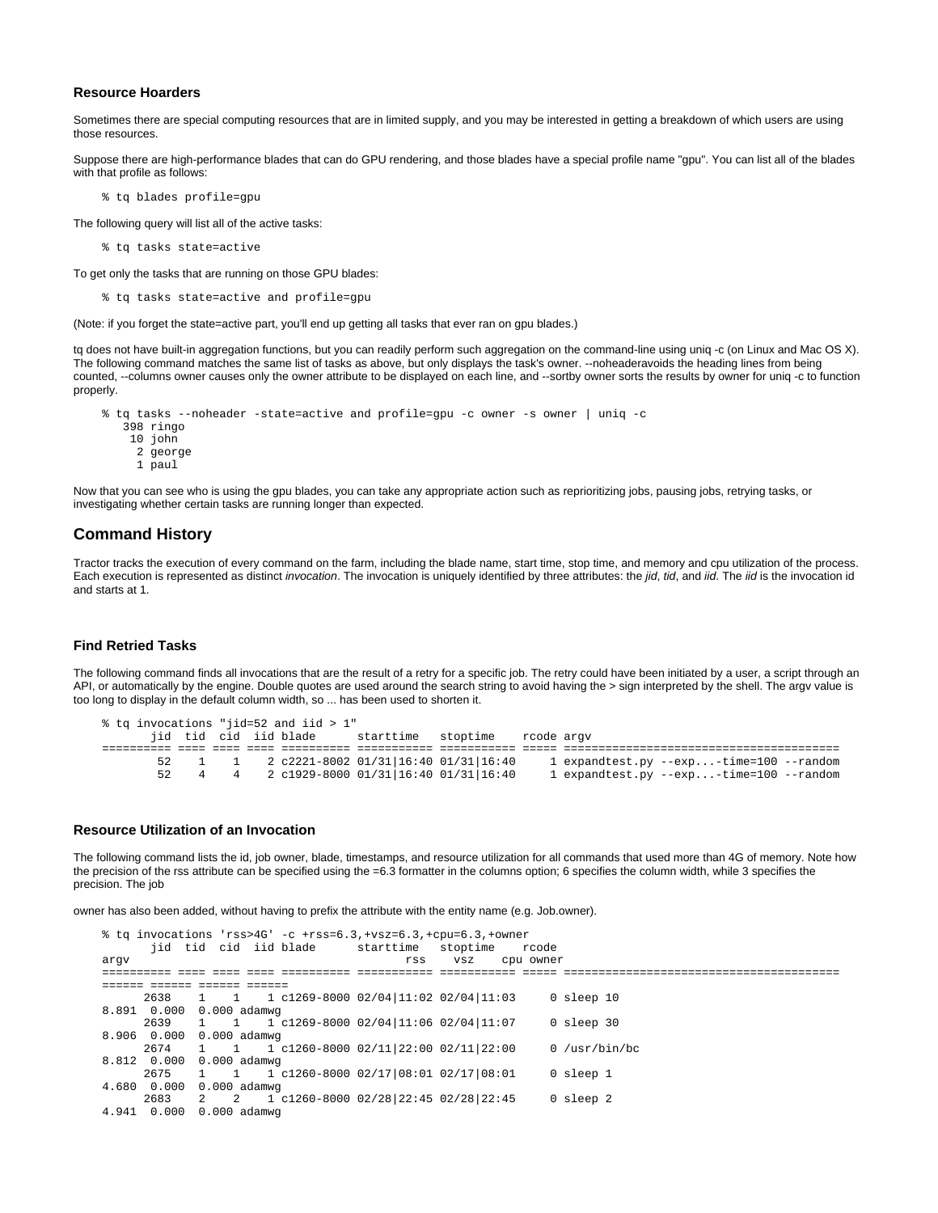## **Resource Hoarders**

Sometimes there are special computing resources that are in limited supply, and you may be interested in getting a breakdown of which users are using those resources.

Suppose there are high-performance blades that can do GPU rendering, and those blades have a special profile name "gpu". You can list all of the blades with that profile as follows:

% tq blades profile=gpu

The following query will list all of the active tasks:

```
% tq tasks state=active
```
To get only the tasks that are running on those GPU blades:

% tq tasks state=active and profile=gpu

(Note: if you forget the state=active part, you'll end up getting all tasks that ever ran on gpu blades.)

tq does not have built-in aggregation functions, but you can readily perform such aggregation on the command-line using uniq -c (on Linux and Mac OS X). The following command matches the same list of tasks as above, but only displays the task's owner. --noheaderavoids the heading lines from being counted, --columns owner causes only the owner attribute to be displayed on each line, and --sortby owner sorts the results by owner for uniq -c to function properly.

```
% tq tasks --noheader -state=active and profile=gpu -c owner -s owner | uniq -c
   398 ringo
    10 john
     2 george
      1 paul
```
Now that you can see who is using the gpu blades, you can take any appropriate action such as reprioritizing jobs, pausing jobs, retrying tasks, or investigating whether certain tasks are running longer than expected.

## **Command History**

Tractor tracks the execution of every command on the farm, including the blade name, start time, stop time, and memory and cpu utilization of the process. Each execution is represented as distinct invocation. The invocation is uniquely identified by three attributes: the jid, tid, and iid. The iid is the invocation id and starts at 1.

## **Find Retried Tasks**

The following command finds all invocations that are the result of a retry for a specific job. The retry could have been initiated by a user, a script through an API, or automatically by the engine. Double quotes are used around the search string to avoid having the > sign interpreted by the shell. The argv value is too long to display in the default column width, so ... has been used to shorten it.

|  |    |     | % tq invocations "jid=52 and iid > 1" |                                                    |            |                                         |
|--|----|-----|---------------------------------------|----------------------------------------------------|------------|-----------------------------------------|
|  |    |     | jid tid cid iid blade                 | starttime stoptime                                 | rcode arqv |                                         |
|  |    |     |                                       |                                                    |            |                                         |
|  |    |     |                                       | 1   1   2   c2221-8002  01/31  16:40  01/31  16:40 |            | 1 expandtest.py --exp-time=100 --random |
|  | 52 | 4 4 |                                       | 2 c1929-8000 01/31 16:40 01/31 16:40               |            | 1 expandtest.py --exp-time=100 --random |

#### **Resource Utilization of an Invocation**

The following command lists the id, job owner, blade, timestamps, and resource utilization for all commands that used more than 4G of memory. Note how the precision of the rss attribute can be specified using the =6.3 formatter in the columns option; 6 specifies the column width, while 3 specifies the precision. The job

owner has also been added, without having to prefix the attribute with the entity name (e.g. Job.owner).

```
% tq invocations 'rss>4G' -c +rss=6.3,+vsz=6.3,+cpu=6.3,+owner
       jid tid cid iid blade starttime stoptime rcode 
jid tid cid iid blade starttime stoptime<br>argv rss vsz
========== ==== ==== ==== ========== =========== =========== ===== ======================================== 
====== ====== ====== ======
      2638 1 1 1 c1269-8000 02/04|11:02 02/04|11:03 0 sleep 10 
8.891 0.000 0.000 adamwg
      2639 1 1 1 c1269-8000 02/04|11:06 02/04|11:07 0 sleep 30 
8.906 0.000 0.000 adamwg
      2674 1 1 1 c1260-8000 02/11|22:00 02/11|22:00 0 /usr/bin/bc 
8.812 0.000 0.000 adamwg
      2675 1 1 1 c1260-8000 02/17|08:01 02/17|08:01 0 sleep 1 
4.680 0.000 0.000 adamwg<br>2683 2 2 1
      2683 2 2 1 c1260-8000 02/28|22:45 02/28|22:45 0 sleep 2 
4.941 0.000 0.000 adamwg
```